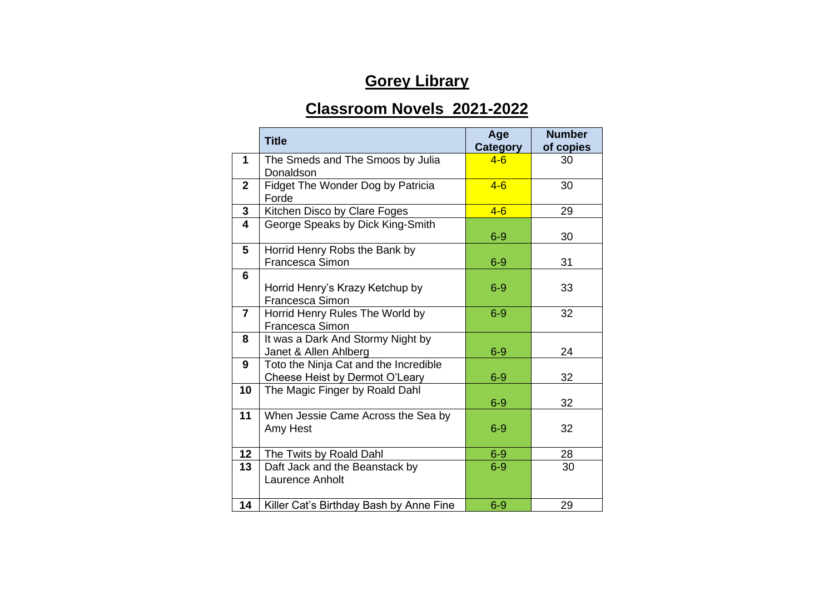## **Gorey Library**

## **Classroom Novels 2021-2022**

|                         | <b>Title</b>                                                            | Age<br><b>Category</b> | <b>Number</b><br>of copies |
|-------------------------|-------------------------------------------------------------------------|------------------------|----------------------------|
| 1                       | The Smeds and The Smoos by Julia<br>Donaldson                           | $4 - 6$                | 30                         |
| $\mathbf{2}$            | Fidget The Wonder Dog by Patricia<br>Forde                              | $4 - 6$                | 30                         |
| 3                       | Kitchen Disco by Clare Foges                                            | $4 - 6$                | 29                         |
| $\overline{\mathbf{4}}$ | George Speaks by Dick King-Smith                                        | $6-9$                  | 30                         |
| 5                       | Horrid Henry Robs the Bank by<br>Francesca Simon                        | $6-9$                  | 31                         |
| 6                       | Horrid Henry's Krazy Ketchup by<br>Francesca Simon                      | $6-9$                  | 33                         |
| $\overline{7}$          | Horrid Henry Rules The World by<br>Francesca Simon                      | $6-9$                  | 32                         |
| 8                       | It was a Dark And Stormy Night by<br>Janet & Allen Ahlberg              | $6-9$                  | 24                         |
| 9                       | Toto the Ninja Cat and the Incredible<br>Cheese Heist by Dermot O'Leary | $6-9$                  | 32                         |
| 10                      | The Magic Finger by Roald Dahl                                          | $6-9$                  | 32                         |
| 11                      | When Jessie Came Across the Sea by<br>Amy Hest                          | $6-9$                  | 32                         |
| 12                      | The Twits by Roald Dahl                                                 | $6-9$                  | 28                         |
| 13                      | Daft Jack and the Beanstack by<br>Laurence Anholt                       | $6-9$                  | 30                         |
| 14                      | Killer Cat's Birthday Bash by Anne Fine                                 | $6-9$                  | 29                         |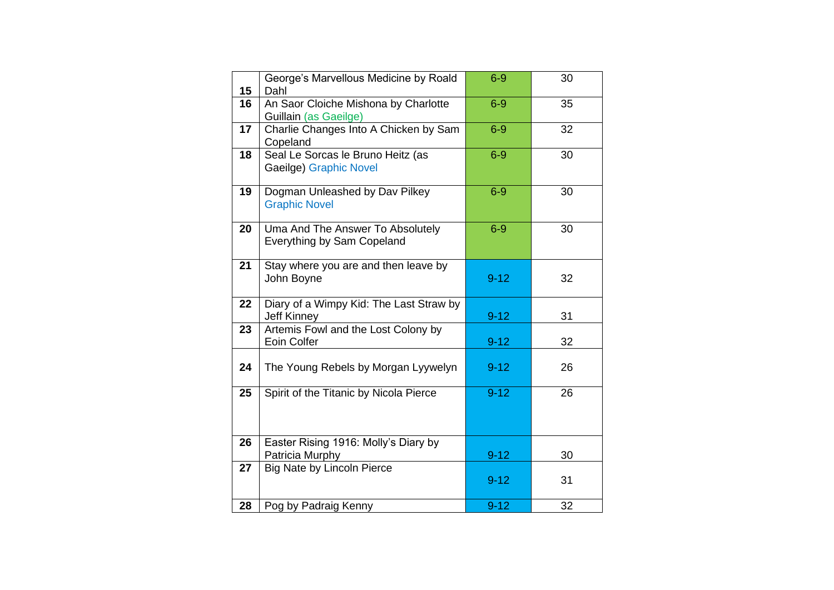| 15 | George's Marvellous Medicine by Roald<br>Dahl                         | $6-9$    | 30 |
|----|-----------------------------------------------------------------------|----------|----|
| 16 | An Saor Cloiche Mishona by Charlotte<br>Guillain (as Gaeilge)         | $6-9$    | 35 |
| 17 | Charlie Changes Into A Chicken by Sam<br>Copeland                     | $6-9$    | 32 |
| 18 | Seal Le Sorcas le Bruno Heitz (as<br>Gaeilge) Graphic Novel           | $6-9$    | 30 |
| 19 | Dogman Unleashed by Dav Pilkey<br><b>Graphic Novel</b>                | $6-9$    | 30 |
| 20 | Uma And The Answer To Absolutely<br><b>Everything by Sam Copeland</b> | $6-9$    | 30 |
| 21 | Stay where you are and then leave by<br>John Boyne                    | $9 - 12$ | 32 |
| 22 | Diary of a Wimpy Kid: The Last Straw by<br><b>Jeff Kinney</b>         | $9 - 12$ | 31 |
| 23 | Artemis Fowl and the Lost Colony by<br>Eoin Colfer                    | $9 - 12$ | 32 |
| 24 | The Young Rebels by Morgan Lyywelyn                                   | $9 - 12$ | 26 |
| 25 | Spirit of the Titanic by Nicola Pierce                                | $9 - 12$ | 26 |
| 26 | Easter Rising 1916: Molly's Diary by<br>Patricia Murphy               | $9 - 12$ | 30 |
| 27 | <b>Big Nate by Lincoln Pierce</b>                                     | $9 - 12$ | 31 |
| 28 | Pog by Padraig Kenny                                                  | $9 - 12$ | 32 |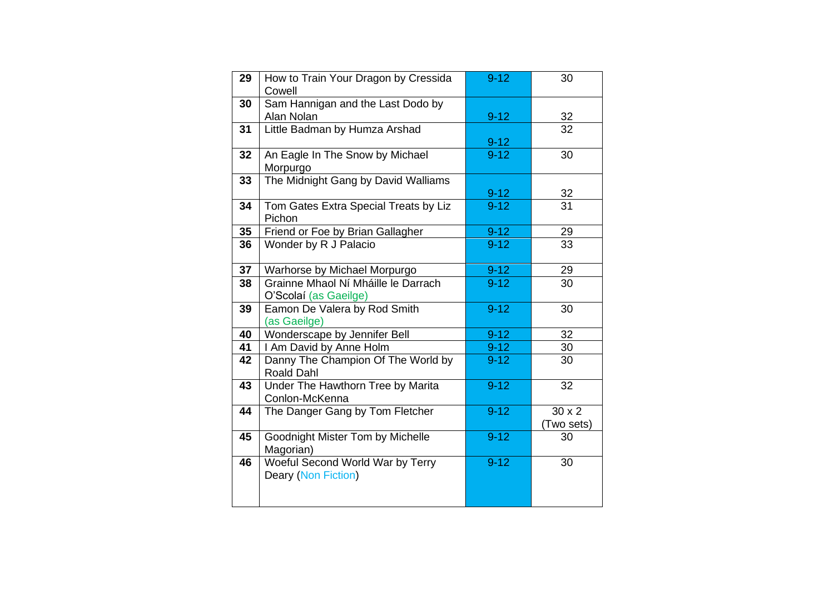| 29 | How to Train Your Dragon by Cressida<br>Cowell               | $9 - 12$ | 30                          |
|----|--------------------------------------------------------------|----------|-----------------------------|
| 30 | Sam Hannigan and the Last Dodo by<br>Alan Nolan              | $9 - 12$ | 32                          |
| 31 | Little Badman by Humza Arshad                                | $9 - 12$ | 32                          |
| 32 | An Eagle In The Snow by Michael<br>Morpurgo                  | $9-12$   | 30                          |
| 33 | The Midnight Gang by David Walliams                          | $9 - 12$ | 32                          |
| 34 | Tom Gates Extra Special Treats by Liz<br>Pichon              | $9 - 12$ | 31                          |
| 35 | Friend or Foe by Brian Gallagher                             | $9 - 12$ | 29                          |
| 36 | Wonder by R J Palacio                                        | $9-12$   | 33                          |
| 37 | Warhorse by Michael Morpurgo                                 | $9-12$   | 29                          |
| 38 | Grainne Mhaol Ní Mháille le Darrach<br>O'Scolaí (as Gaeilge) | $9 - 12$ | 30                          |
| 39 | Eamon De Valera by Rod Smith<br>(as Gaeilge)                 | $9 - 12$ | 30                          |
| 40 | Wonderscape by Jennifer Bell                                 | $9 - 12$ | 32                          |
| 41 | I Am David by Anne Holm                                      | $9 - 12$ | 30                          |
| 42 | Danny The Champion Of The World by<br>Roald Dahl             | $9 - 12$ | 30                          |
| 43 | Under The Hawthorn Tree by Marita<br>Conlon-McKenna          | $9 - 12$ | 32                          |
| 44 | The Danger Gang by Tom Fletcher                              | $9 - 12$ | $30 \times 2$<br>(Two sets) |
| 45 | Goodnight Mister Tom by Michelle<br>Magorian)                | $9 - 12$ | 30                          |
| 46 | Woeful Second World War by Terry<br>Deary (Non Fiction)      | $9 - 12$ | 30                          |